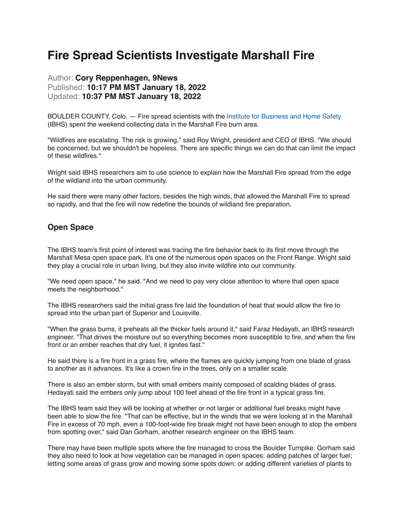# **Fire Spread Scientists Investigate Marshall Fire**

## Author: **Cory Reppenhagen, 9News**  Published: **10:17 PM MST January 18, 2022**  Updated: **10:37 PM MST January 18, 2022**

BOULDER COUNTY, Colo. — Fire spread scientists with the [Institute for Business and Home Safety](https://ibhs.org/wildfire/evaluation-of-deck-testing-methods/) (IBHS) spent the weekend collecting data in the Marshall Fire burn area.

"Wildfires are escalating. The risk is growing," said Roy Wright, president and CEO of IBHS. "We should be concerned, but we shouldn't be hopeless. There are specific things we can do that can limit the impact of these wildfires."

Wright said IBHS researchers aim to use science to explain how the Marshall Fire spread from the edge of the wildland into the urban community.

He said there were many other factors, besides the high winds, that allowed the Marshall Fire to spread so rapidly, and that the fire will now redefine the bounds of wildland fire preparation.

#### **Open Space**

The IBHS team's first point of interest was tracing the fire behavior back to its first move through the Marshall Mesa open space park. It's one of the numerous open spaces on the Front Range. Wright said they play a crucial role in urban living, but they also invite wildfire into our community.

"We need open space," he said. "And we need to pay very close attention to where that open space meets the neighborhood."

The IBHS researchers said the initial grass fire laid the foundation of heat that would allow the fire to spread into the urban part of Superior and Louisville.

"When the grass burns, it preheats all the thicker fuels around it," said Faraz Hedayati, an IBHS research engineer. "That drives the moisture out so everything becomes more susceptible to fire, and when the fire front or an ember reaches that dry fuel, it ignites fast."

He said there is a fire front in a grass fire, where the flames are quickly jumping from one blade of grass to another as it advances. It's like a crown fire in the trees, only on a smaller scale.

There is also an ember storm, but with small embers mainly composed of scalding blades of grass. Hedayati said the embers only jump about 100 feet ahead of the fire front in a typical grass fire.

The IBHS team said they will be looking at whether or not larger or additional fuel breaks might have been able to slow the fire. "That can be effective, but in the winds that we were looking at in the Marshall Fire in excess of 70 mph, even a 100-foot-wide fire break might not have been enough to stop the embers from spotting over," said Dan Gorham, another research engineer on the IBHS team.

There may have been multiple spots where the fire managed to cross the Boulder Turnpike. Gorham said they also need to look at how vegetation can be managed in open spaces: adding patches of larger fuel; letting some areas of grass grow and mowing some spots down; or adding different varieties of plants to